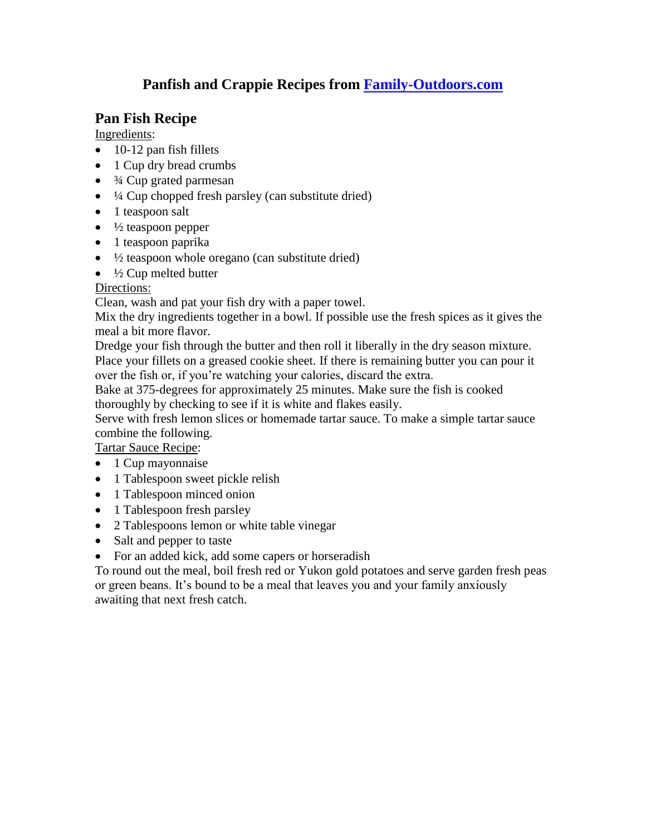# **Panfish and Crappie Recipes from [Family-Outdoors.com](http://www.family-outdoors.com/)**

# **Pan Fish Recipe**

Ingredients:

- $\bullet$  10-12 pan fish fillets
- 1 Cup dry bread crumbs
- <sup>3/4</sup> Cup grated parmesan
- $\bullet$   $\frac{1}{4}$  Cup chopped fresh parsley (can substitute dried)
- 1 teaspoon salt
- $\bullet$   $\frac{1}{2}$  teaspoon pepper
- 1 teaspoon paprika
- $\bullet$   $\frac{1}{2}$  teaspoon whole oregano (can substitute dried)
- $\bullet$   $\frac{1}{2}$  Cup melted butter

### Directions:

Clean, wash and pat your fish dry with a paper towel.

Mix the dry ingredients together in a bowl. If possible use the fresh spices as it gives the meal a bit more flavor.

Dredge your fish through the butter and then roll it liberally in the dry season mixture. Place your fillets on a greased cookie sheet. If there is remaining butter you can pour it over the fish or, if you're watching your calories, discard the extra.

Bake at 375-degrees for approximately 25 minutes. Make sure the fish is cooked thoroughly by checking to see if it is white and flakes easily.

Serve with fresh lemon slices or homemade tartar sauce. To make a simple tartar sauce combine the following.

Tartar Sauce Recipe:

- $\bullet$  1 Cup mayonnaise
- 1 Tablespoon sweet pickle relish
- 1 Tablespoon minced onion
- 1 Tablespoon fresh parsley
- 2 Tablespoons lemon or white table vinegar
- Salt and pepper to taste
- For an added kick, add some capers or horseradish

To round out the meal, boil fresh red or Yukon gold potatoes and serve garden fresh peas or green beans. It's bound to be a meal that leaves you and your family anxiously awaiting that next fresh catch.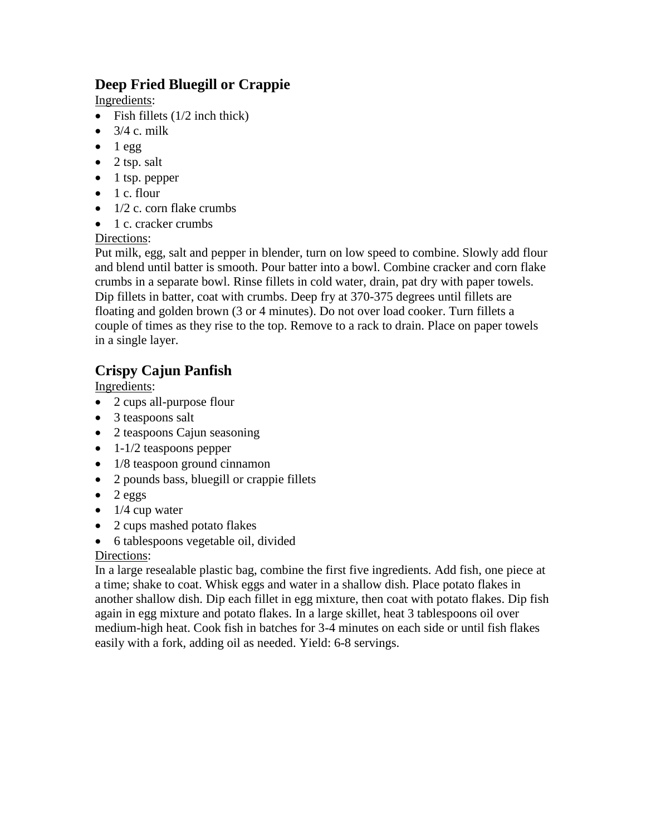# **Deep Fried Bluegill or Crappie**

Ingredients:

- Fish fillets  $(1/2$  inch thick)
- $\bullet$  3/4 c. milk
- $\bullet$  1 egg
- $\bullet$  2 tsp. salt
- $\bullet$  1 tsp. pepper
- $\bullet$  1 c. flour
- $\bullet$  1/2 c. corn flake crumbs
- 1 c. cracker crumbs

### Directions:

Put milk, egg, salt and pepper in blender, turn on low speed to combine. Slowly add flour and blend until batter is smooth. Pour batter into a bowl. Combine cracker and corn flake crumbs in a separate bowl. Rinse fillets in cold water, drain, pat dry with paper towels. Dip fillets in batter, coat with crumbs. Deep fry at 370-375 degrees until fillets are floating and golden brown (3 or 4 minutes). Do not over load cooker. Turn fillets a couple of times as they rise to the top. Remove to a rack to drain. Place on paper towels in a single layer.

# **Crispy Cajun Panfish**

Ingredients:

- 2 cups all-purpose flour
- 3 teaspoons salt
- 2 teaspoons Cajun seasoning
- $\bullet$  1-1/2 teaspoons pepper
- 1/8 teaspoon ground cinnamon
- 2 pounds bass, bluegill or crappie fillets
- $\bullet$  2 eggs
- $\bullet$  1/4 cup water
- 2 cups mashed potato flakes
- 6 tablespoons vegetable oil, divided

## Directions:

In a large resealable plastic bag, combine the first five ingredients. Add fish, one piece at a time; shake to coat. Whisk eggs and water in a shallow dish. Place potato flakes in another shallow dish. Dip each fillet in egg mixture, then coat with potato flakes. Dip fish again in egg mixture and potato flakes. In a large skillet, heat 3 tablespoons oil over medium-high heat. Cook fish in batches for 3-4 minutes on each side or until fish flakes easily with a fork, adding oil as needed. Yield: 6-8 servings.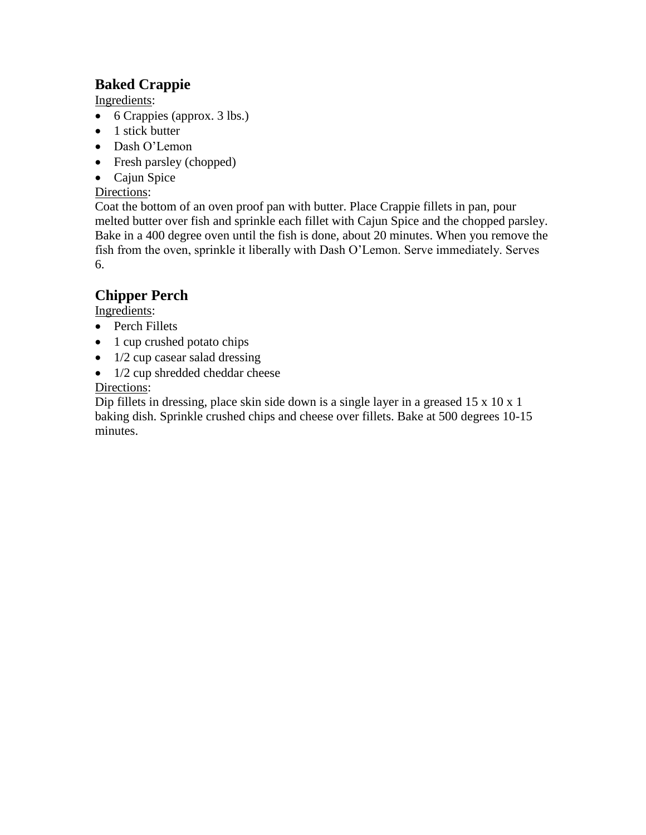# **Baked Crappie**

Ingredients:

- 6 Crappies (approx. 3 lbs.)
- $\bullet$  1 stick butter
- Dash O'Lemon
- Fresh parsley (chopped)
- Cajun Spice

#### Directions:

Coat the bottom of an oven proof pan with butter. Place Crappie fillets in pan, pour melted butter over fish and sprinkle each fillet with Cajun Spice and the chopped parsley. Bake in a 400 degree oven until the fish is done, about 20 minutes. When you remove the fish from the oven, sprinkle it liberally with Dash O'Lemon. Serve immediately. Serves 6.

# **Chipper Perch**

Ingredients:

- Perch Fillets
- 1 cup crushed potato chips
- $\bullet$  1/2 cup casear salad dressing
- 1/2 cup shredded cheddar cheese

### Directions:

Dip fillets in dressing, place skin side down is a single layer in a greased 15 x 10 x 1 baking dish. Sprinkle crushed chips and cheese over fillets. Bake at 500 degrees 10-15 minutes.